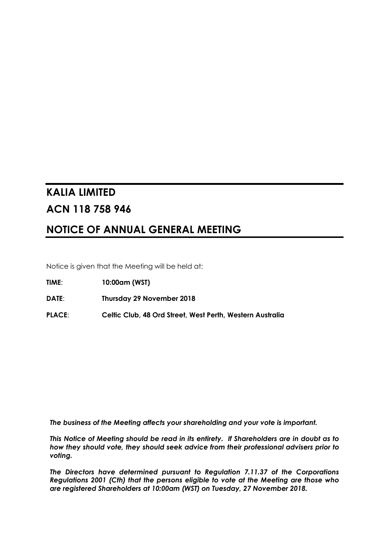# **KALIA LIMITED ACN 118 758 946**

# **NOTICE OF ANNUAL GENERAL MEETING**

Notice is given that the Meeting will be held at:

**TIME**: **10:00am (WST)**

**DATE**: **Thursday 29 November 2018**

**PLACE**: **Celtic Club, 48 Ord Street, West Perth, Western Australia**

*The business of the Meeting affects your shareholding and your vote is important.*

*This Notice of Meeting should be read in its entirety. If Shareholders are in doubt as to how they should vote, they should seek advice from their professional advisers prior to voting.*

*The Directors have determined pursuant to Regulation 7.11.37 of the Corporations Regulations 2001 (Cth) that the persons eligible to vote at the Meeting are those who are registered Shareholders at 10:00am (WST) on Tuesday, 27 November 2018.*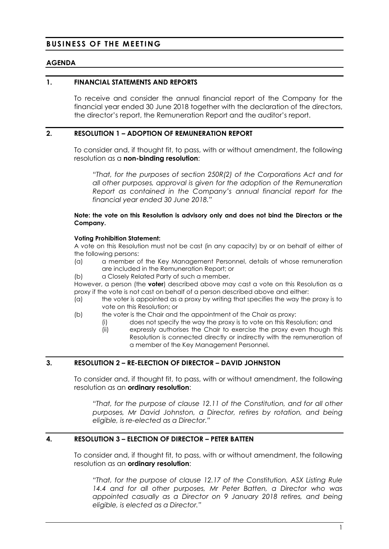# **BUSINESS OF THE MEETING**

# **AGENDA**

### **1. FINANCIAL STATEMENTS AND REPORTS**

To receive and consider the annual financial report of the Company for the financial year ended 30 June 2018 together with the declaration of the directors, the director's report, the Remuneration Report and the auditor's report.

### **2. RESOLUTION 1 – ADOPTION OF REMUNERATION REPORT**

To consider and, if thought fit, to pass, with or without amendment, the following resolution as a **non-binding resolution**:

*"That, for the purposes of section 250R(2) of the Corporations Act and for all other purposes, approval is given for the adoption of the Remuneration Report as contained in the Company's annual financial report for the financial year ended 30 June 2018."*

### **Note: the vote on this Resolution is advisory only and does not bind the Directors or the Company.**

### **Voting Prohibition Statement:**

A vote on this Resolution must not be cast (in any capacity) by or on behalf of either of the following persons:

- (a) a member of the Key Management Personnel, details of whose remuneration are included in the Remuneration Report; or
- (b) a Closely Related Party of such a member.

However, a person (the **voter**) described above may cast a vote on this Resolution as a proxy if the vote is not cast on behalf of a person described above and either:

- (a) the voter is appointed as a proxy by writing that specifies the way the proxy is to vote on this Resolution; or
- (b) the voter is the Chair and the appointment of the Chair as proxy:
	- (i) does not specify the way the proxy is to vote on this Resolution; and
	- (ii) expressly authorises the Chair to exercise the proxy even though this Resolution is connected directly or indirectly with the remuneration of a member of the Key Management Personnel.

# **3. RESOLUTION 2 – RE-ELECTION OF DIRECTOR – DAVID JOHNSTON**

To consider and, if thought fit, to pass, with or without amendment, the following resolution as an **ordinary resolution**:

*"That, for the purpose of clause 12.11 of the Constitution, and for all other purposes, Mr David Johnston, a Director, retires by rotation, and being eligible, is re-elected as a Director."*

# **4. RESOLUTION 3 – ELECTION OF DIRECTOR – PETER BATTEN**

To consider and, if thought fit, to pass, with or without amendment, the following resolution as an **ordinary resolution**:

*"That, for the purpose of clause 12.17 of the Constitution, ASX Listing Rule 14.4 and for all other purposes, Mr Peter Batten, a Director who was appointed casually as a Director on 9 January 2018 retires, and being eligible, is elected as a Director."*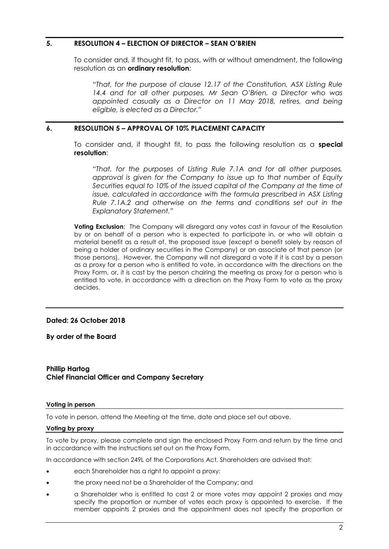# **5. RESOLUTION 4 – ELECTION OF DIRECTOR – SEAN O'BRIEN**

To consider and, if thought fit, to pass, with or without amendment, the following resolution as an **ordinary resolution**:

*"That, for the purpose of clause 12.17 of the Constitution, ASX Listing Rule 14.4 and for all other purposes, Mr Sean O'Brien, a Director who was appointed casually as a Director on 11 May 2018, retires, and being eligible, is elected as a Director."*

### **6. RESOLUTION 5 – APPROVAL OF 10% PLACEMENT CAPACITY**

To consider and, if thought fit, to pass the following resolution as a **special resolution**:

*"That, for the purposes of Listing Rule 7.1A and for all other purposes, approval is given for the Company to issue up to that number of Equity Securities equal to 10% of the issued capital of the Company at the time of issue, calculated in accordance with the formula prescribed in ASX Listing Rule 7.1A.2 and otherwise on the terms and conditions set out in the Explanatory Statement."*

**Voting Exclusion:** The Company will disregard any votes cast in favour of the Resolution by or on behalf of a person who is expected to participate in, or who will obtain a material benefit as a result of, the proposed issue (except a benefit solely by reason of being a holder of ordinary securities in the Company) or an associate of that person (or those persons). However, the Company will not disregard a vote if it is cast by a person as a proxy for a person who is entitled to vote, in accordance with the directions on the Proxy Form, or, it is cast by the person chairing the meeting as proxy for a person who is entitled to vote, in accordance with a direction on the Proxy Form to vote as the proxy decides.

### **Dated: 26 October 2018**

**By order of the Board**

### **Phillip Hartog Chief Financial Officer and Company Secretary**

### **Voting in person**

To vote in person, attend the Meeting at the time, date and place set out above.

### **Voting by proxy**

To vote by proxy, please complete and sign the enclosed Proxy Form and return by the time and in accordance with the instructions set out on the Proxy Form.

In accordance with section 249L of the Corporations Act, Shareholders are advised that:

- each Shareholder has a right to appoint a proxy;
- the proxy need not be a Shareholder of the Company; and
- a Shareholder who is entitled to cast 2 or more votes may appoint 2 proxies and may specify the proportion or number of votes each proxy is appointed to exercise. If the member appoints 2 proxies and the appointment does not specify the proportion or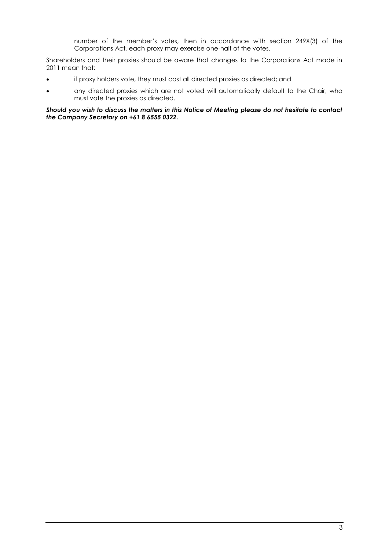number of the member's votes, then in accordance with section 249X(3) of the Corporations Act, each proxy may exercise one-half of the votes.

Shareholders and their proxies should be aware that changes to the Corporations Act made in 2011 mean that:

- if proxy holders vote, they must cast all directed proxies as directed; and
- any directed proxies which are not voted will automatically default to the Chair, who must vote the proxies as directed.

*Should you wish to discuss the matters in this Notice of Meeting please do not hesitate to contact the Company Secretary on +61 8 6555 0322.*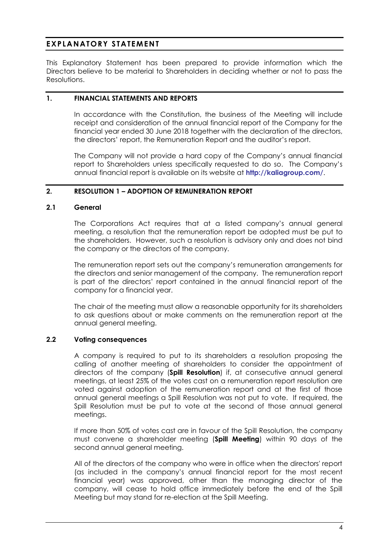# **EXPLANATORY STATEMENT**

This Explanatory Statement has been prepared to provide information which the Directors believe to be material to Shareholders in deciding whether or not to pass the Resolutions.

# **1. FINANCIAL STATEMENTS AND REPORTS**

In accordance with the Constitution, the business of the Meeting will include receipt and consideration of the annual financial report of the Company for the financial year ended 30 June 2018 together with the declaration of the directors, the directors' report, the Remuneration Report and the auditor's report.

The Company will not provide a hard copy of the Company's annual financial report to Shareholders unless specifically requested to do so. The Company's annual financial report is available on its website at **<http://kaliagroup.com/>**.

# **2. RESOLUTION 1 – ADOPTION OF REMUNERATION REPORT**

# **2.1 General**

The Corporations Act requires that at a listed company's annual general meeting, a resolution that the remuneration report be adopted must be put to the shareholders. However, such a resolution is advisory only and does not bind the company or the directors of the company.

The remuneration report sets out the company's remuneration arrangements for the directors and senior management of the company. The remuneration report is part of the directors' report contained in the annual financial report of the company for a financial year.

The chair of the meeting must allow a reasonable opportunity for its shareholders to ask questions about or make comments on the remuneration report at the annual general meeting.

# **2.2 Voting consequences**

A company is required to put to its shareholders a resolution proposing the calling of another meeting of shareholders to consider the appointment of directors of the company (**Spill Resolution**) if, at consecutive annual general meetings, at least 25% of the votes cast on a remuneration report resolution are voted against adoption of the remuneration report and at the first of those annual general meetings a Spill Resolution was not put to vote. If required, the Spill Resolution must be put to vote at the second of those annual general meetings.

If more than 50% of votes cast are in favour of the Spill Resolution, the company must convene a shareholder meeting (**Spill Meeting**) within 90 days of the second annual general meeting.

All of the directors of the company who were in office when the directors' report (as included in the company's annual financial report for the most recent financial year) was approved, other than the managing director of the company, will cease to hold office immediately before the end of the Spill Meeting but may stand for re-election at the Spill Meeting.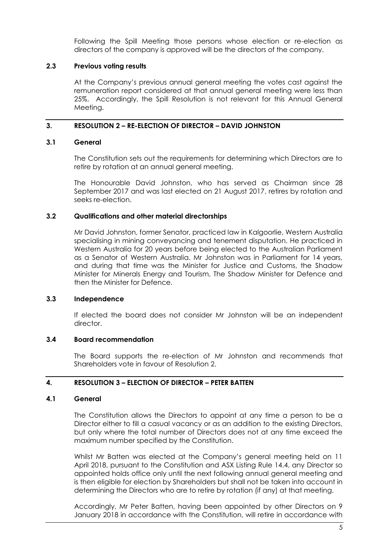Following the Spill Meeting those persons whose election or re-election as directors of the company is approved will be the directors of the company.

# **2.3 Previous voting results**

At the Company's previous annual general meeting the votes cast against the remuneration report considered at that annual general meeting were less than 25%. Accordingly, the Spill Resolution is not relevant for this Annual General Meeting.

# **3. RESOLUTION 2 – RE-ELECTION OF DIRECTOR – DAVID JOHNSTON**

# **3.1 General**

The Constitution sets out the requirements for determining which Directors are to retire by rotation at an annual general meeting.

The Honourable David Johnston, who has served as Chairman since 28 September 2017 and was last elected on 21 August 2017, retires by rotation and seeks re-election.

# **3.2 Qualifications and other material directorships**

Mr David Johnston, former Senator, practiced law in Kalgoorlie, Western Australia specialising in mining conveyancing and tenement disputation. He practiced in Western Australia for 20 years before being elected to the Australian Parliament as a Senator of Western Australia. Mr Johnston was in Parliament for 14 years, and during that time was the Minister for Justice and Customs, the Shadow Minister for Minerals Energy and Tourism, The Shadow Minister for Defence and then the Minister for Defence.

# **3.3 Independence**

If elected the board does not consider Mr Johnston will be an independent director.

# **3.4 Board recommendation**

The Board supports the re-election of Mr Johnston and recommends that Shareholders vote in favour of Resolution 2.

# **4. RESOLUTION 3 – ELECTION OF DIRECTOR – PETER BATTEN**

# **4.1 General**

The Constitution allows the Directors to appoint at any time a person to be a Director either to fill a casual vacancy or as an addition to the existing Directors, but only where the total number of Directors does not at any time exceed the maximum number specified by the Constitution.

Whilst Mr Batten was elected at the Company's general meeting held on 11 April 2018, pursuant to the Constitution and ASX Listing Rule 14.4, any Director so appointed holds office only until the next following annual general meeting and is then eligible for election by Shareholders but shall not be taken into account in determining the Directors who are to retire by rotation (if any) at that meeting.

Accordingly, Mr Peter Batten, having been appointed by other Directors on 9 January 2018 in accordance with the Constitution, will retire in accordance with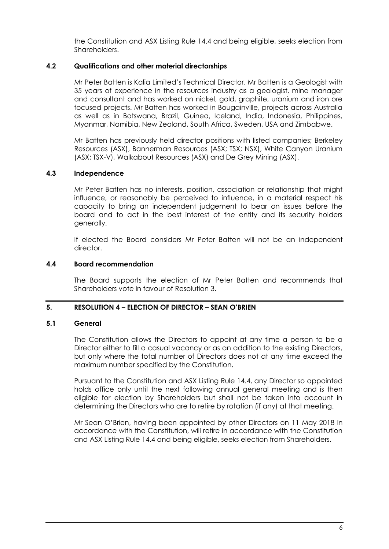the Constitution and ASX Listing Rule 14.4 and being eligible, seeks election from Shareholders.

# **4.2 Qualifications and other material directorships**

Mr Peter Batten is Kalia Limited's Technical Director. Mr Batten is a Geologist with 35 years of experience in the resources industry as a geologist, mine manager and consultant and has worked on nickel, gold, graphite, uranium and iron ore focused projects. Mr Batten has worked in Bougainville, projects across Australia as well as in Botswana, Brazil, Guinea, Iceland, India, Indonesia, Philippines, Myanmar, Namibia, New Zealand, South Africa, Sweden, USA and Zimbabwe.

Mr Batten has previously held director positions with listed companies; Berkeley Resources (ASX), Bannerman Resources (ASX; TSX; NSX), White Canyon Uranium (ASX; TSX-V), Walkabout Resources (ASX) and De Grey Mining (ASX).

# **4.3 Independence**

Mr Peter Batten has no interests, position, association or relationship that might influence, or reasonably be perceived to influence, in a material respect his capacity to bring an independent judgement to bear on issues before the board and to act in the best interest of the entity and its security holders generally.

If elected the Board considers Mr Peter Batten will not be an independent director.

### **4.4 Board recommendation**

The Board supports the election of Mr Peter Batten and recommends that Shareholders vote in favour of Resolution 3.

# **5. RESOLUTION 4 – ELECTION OF DIRECTOR – SEAN O'BRIEN**

# **5.1 General**

The Constitution allows the Directors to appoint at any time a person to be a Director either to fill a casual vacancy or as an addition to the existing Directors, but only where the total number of Directors does not at any time exceed the maximum number specified by the Constitution.

Pursuant to the Constitution and ASX Listing Rule 14.4, any Director so appointed holds office only until the next following annual general meeting and is then eligible for election by Shareholders but shall not be taken into account in determining the Directors who are to retire by rotation (if any) at that meeting.

Mr Sean O'Brien, having been appointed by other Directors on 11 May 2018 in accordance with the Constitution, will retire in accordance with the Constitution and ASX Listing Rule 14.4 and being eligible, seeks election from Shareholders.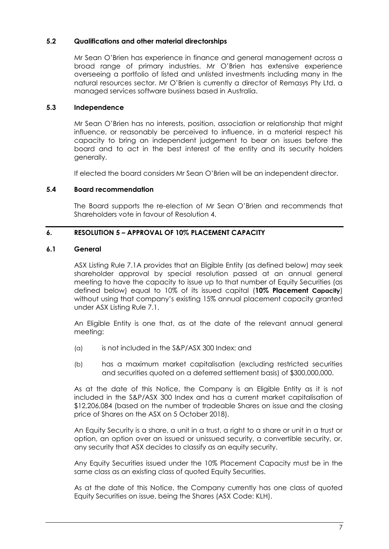# **5.2 Qualifications and other material directorships**

Mr Sean O'Brien has experience in finance and general management across a broad range of primary industries. Mr O'Brien has extensive experience overseeing a portfolio of listed and unlisted investments including many in the natural resources sector. Mr O'Brien is currently a director of Remasys Pty Ltd, a managed services software business based in Australia.

# **5.3 Independence**

Mr Sean O'Brien has no interests, position, association or relationship that might influence, or reasonably be perceived to influence, in a material respect his capacity to bring an independent judgement to bear on issues before the board and to act in the best interest of the entity and its security holders generally.

If elected the board considers Mr Sean O'Brien will be an independent director.

# **5.4 Board recommendation**

The Board supports the re-election of Mr Sean O'Brien and recommends that Shareholders vote in favour of Resolution 4.

# **6. RESOLUTION 5 – APPROVAL OF 10% PLACEMENT CAPACITY**

### **6.1 General**

ASX Listing Rule 7.1A provides that an Eligible Entity (as defined below) may seek shareholder approval by special resolution passed at an annual general meeting to have the capacity to issue up to that number of Equity Securities (as defined below) equal to 10% of its issued capital (**10% Placement Capacity**) without using that company's existing 15% annual placement capacity granted under ASX Listing Rule 7.1.

An Eligible Entity is one that, as at the date of the relevant annual general meeting:

- (a) is not included in the S&P/ASX 300 Index; and
- (b) has a maximum market capitalisation (excluding restricted securities and securities quoted on a deferred settlement basis) of \$300,000,000.

As at the date of this Notice, the Company is an Eligible Entity as it is not included in the S&P/ASX 300 Index and has a current market capitalisation of \$12,206,084 (based on the number of tradeable Shares on issue and the closing price of Shares on the ASX on 5 October 2018).

An Equity Security is a share, a unit in a trust, a right to a share or unit in a trust or option, an option over an issued or unissued security, a convertible security, or, any security that ASX decides to classify as an equity security.

Any Equity Securities issued under the 10% Placement Capacity must be in the same class as an existing class of quoted Equity Securities.

As at the date of this Notice, the Company currently has one class of quoted Equity Securities on issue, being the Shares (ASX Code: KLH).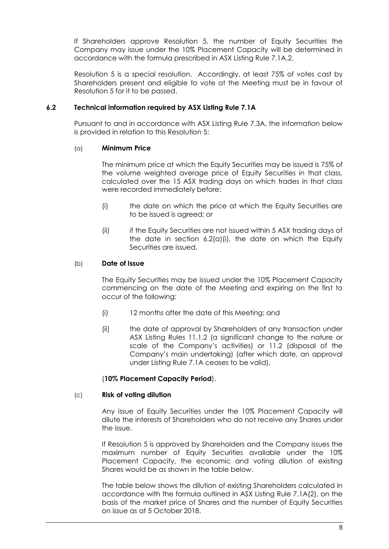If Shareholders approve Resolution 5, the number of Equity Securities the Company may issue under the 10% Placement Capacity will be determined in accordance with the formula prescribed in ASX Listing Rule 7.1A.2.

Resolution 5 is a special resolution. Accordingly, at least 75% of votes cast by Shareholders present and eligible to vote at the Meeting must be in favour of Resolution 5 for it to be passed.

# <span id="page-8-0"></span>**6.2 Technical information required by ASX Listing Rule 7.1A**

Pursuant to and in accordance with ASX Listing Rule 7.3A, the information below is provided in relation to this Resolution 5:

# <span id="page-8-1"></span>(a) **Minimum Price**

The minimum price at which the Equity Securities may be issued is 75% of the volume weighted average price of Equity Securities in that class, calculated over the 15 ASX trading days on which trades in that class were recorded immediately before:

- <span id="page-8-2"></span>(i) the date on which the price at which the Equity Securities are to be issued is agreed; or
- (ii) if the Equity Securities are not issued within 5 ASX trading days of the date in section  $6.2(a)(i)$  $6.2(a)(i)$  $6.2(a)(i)$ , the date on which the Equity Securities are issued.

# (b) **Date of Issue**

The Equity Securities may be issued under the 10% Placement Capacity commencing on the date of the Meeting and expiring on the first to occur of the following:

- (i) 12 months after the date of this Meeting; and
- (ii) the date of approval by Shareholders of any transaction under ASX Listing Rules 11.1.2 (a significant change to the nature or scale of the Company's activities) or 11.2 (disposal of the Company's main undertaking) (after which date, an approval under Listing Rule 7.1A ceases to be valid),

# (**10% Placement Capacity Period**).

# (c) **Risk of voting dilution**

Any issue of Equity Securities under the 10% Placement Capacity will dilute the interests of Shareholders who do not receive any Shares under the issue.

If Resolution 5 is approved by Shareholders and the Company issues the maximum number of Equity Securities available under the 10% Placement Capacity, the economic and voting dilution of existing Shares would be as shown in the table below.

The table below shows the dilution of existing Shareholders calculated in accordance with the formula outlined in ASX Listing Rule 7.1A(2), on the basis of the market price of Shares and the number of Equity Securities on issue as at 5 October 2018.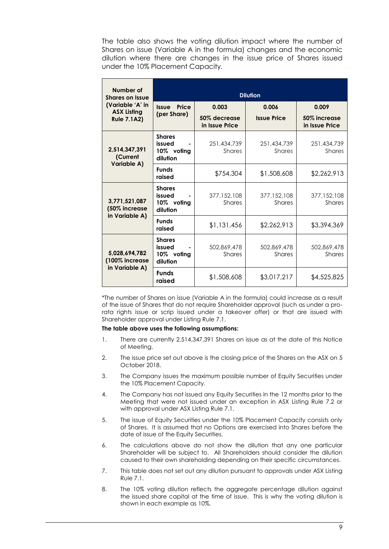The table also shows the voting dilution impact where the number of Shares on issue (Variable A in the formula) changes and the economic dilution where there are changes in the issue price of Shares issued under the 10% Placement Capacity.

| Number of<br><b>Shares on Issue</b>                          | <b>Dilution</b>                                   |                                |                              |                                |  |  |
|--------------------------------------------------------------|---------------------------------------------------|--------------------------------|------------------------------|--------------------------------|--|--|
| (Variable 'A' in<br><b>ASX Listing</b><br><b>Rule 7.1A2)</b> | Price<br><b>Issue</b>                             | 0.003                          | 0.006                        |                                |  |  |
|                                                              | (per Share)                                       | 50% decrease<br>in Issue Price | <b>Issue Price</b>           | 50% increase<br>in Issue Price |  |  |
| 2,514,347,391<br>(Current<br>Variable A)                     | <b>Shares</b><br>issued<br>10% voting<br>dilution | 251,434,739<br><b>Shares</b>   | 251,434,739<br>Shares        | 251,434,739<br><b>Shares</b>   |  |  |
|                                                              | <b>Funds</b><br>raised                            | \$754,304                      | \$1,508,608                  | \$2,262,913                    |  |  |
| 3,771,521,087<br>(50% increase<br>in Variable A)             | <b>Shares</b><br>issued<br>10% voting<br>dilution | 377,152,108<br><b>Shares</b>   | 377,152,108<br><b>Shares</b> | 377,152,108<br><b>Shares</b>   |  |  |
|                                                              | <b>Funds</b><br>raised                            | \$1,131,456                    | \$2,262,913                  | \$3,394,369                    |  |  |
| 5,028,694,782<br>(100% increase<br>in Variable A)            | <b>Shares</b><br>issued<br>10% voting<br>dilution | 502,869,478<br><b>Shares</b>   | 502,869,478<br><b>Shares</b> | 502,869,478<br>Shares          |  |  |
|                                                              | <b>Funds</b><br>raised                            | \$1,508,608                    | \$3,017,217                  | \$4,525,825                    |  |  |

\*The number of Shares on issue (Variable A in the formula) could increase as a result of the issue of Shares that do not require Shareholder approval (such as under a prorata rights issue or scrip issued under a takeover offer) or that are issued with Shareholder approval under Listing Rule 7.1.

### **The table above uses the following assumptions:**

- 1. There are currently 2,514,347,391 Shares on issue as at the date of this Notice of Meeting.
- 2. The issue price set out above is the closing price of the Shares on the ASX on 5 October 2018.
- 3. The Company issues the maximum possible number of Equity Securities under the 10% Placement Capacity.
- 4. The Company has not issued any Equity Securities in the 12 months prior to the Meeting that were not issued under an exception in ASX Listing Rule 7.2 or with approval under ASX Listing Rule 7.1.
- 5. The issue of Equity Securities under the 10% Placement Capacity consists only of Shares. It is assumed that no Options are exercised into Shares before the date of issue of the Equity Securities.
- 6. The calculations above do not show the dilution that any one particular Shareholder will be subject to. All Shareholders should consider the dilution caused to their own shareholding depending on their specific circumstances.
- 7. This table does not set out any dilution pursuant to approvals under ASX Listing Rule 7.1.
- 8. The 10% voting dilution reflects the aggregate percentage dilution against the issued share capital at the time of issue. This is why the voting dilution is shown in each example as 10%.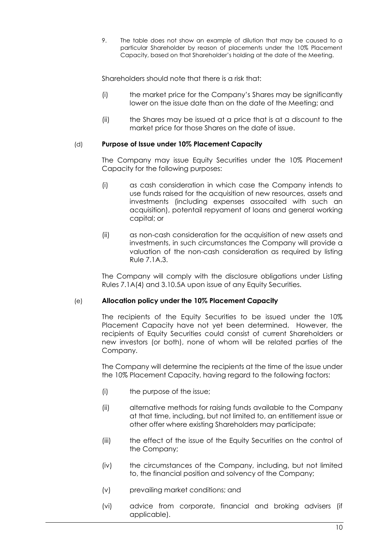9. The table does not show an example of dilution that may be caused to a particular Shareholder by reason of placements under the 10% Placement Capacity, based on that Shareholder's holding at the date of the Meeting.

Shareholders should note that there is a risk that:

- (i) the market price for the Company's Shares may be significantly lower on the issue date than on the date of the Meeting; and
- (ii) the Shares may be issued at a price that is at a discount to the market price for those Shares on the date of issue.

# (d) **Purpose of Issue under 10% Placement Capacity**

The Company may issue Equity Securities under the 10% Placement Capacity for the following purposes:

- (i) as cash consideration in which case the Company intends to use funds raised for the acquisition of new resources, assets and investments (including expenses assocaited with such an acquisition), potentail repyament of loans and general working capital; or
- (ii) as non-cash consideration for the acquisition of new assets and investments, in such circumstances the Company will provide a valuation of the non-cash consideration as required by listing Rule 7.1A.3.

The Company will comply with the disclosure obligations under Listing Rules 7.1A(4) and 3.10.5A upon issue of any Equity Securities.

# (e) **Allocation policy under the 10% Placement Capacity**

The recipients of the Equity Securities to be issued under the 10% Placement Capacity have not yet been determined. However, the recipients of Equity Securities could consist of current Shareholders or new investors (or both), none of whom will be related parties of the Company.

The Company will determine the recipients at the time of the issue under the 10% Placement Capacity, having regard to the following factors:

- (i) the purpose of the issue;
- (ii) alternative methods for raising funds available to the Company at that time, including, but not limited to, an entitlement issue or other offer where existing Shareholders may participate;
- (iii) the effect of the issue of the Equity Securities on the control of the Company;
- (iv) the circumstances of the Company, including, but not limited to, the financial position and solvency of the Company;
- (v) prevailing market conditions; and
- (vi) advice from corporate, financial and broking advisers (if applicable).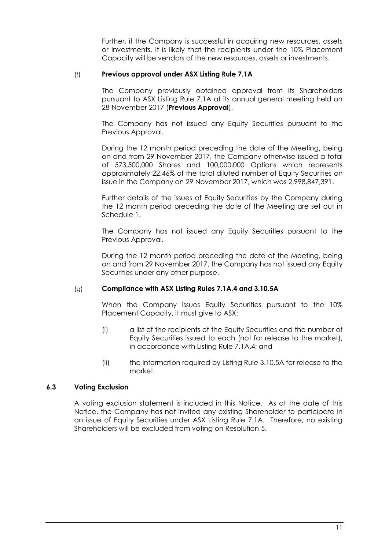Further, if the Company is successful in acquiring new resources, assets or investments, it is likely that the recipients under the 10% Placement Capacity will be vendors of the new resources, assets or investments.

### (f) **Previous approval under ASX Listing Rule 7.1A**

The Company previously obtained approval from its Shareholders pursuant to ASX Listing Rule 7.1A at its annual general meeting held on 28 November 2017 (**Previous Approval**).

The Company has not issued any Equity Securities pursuant to the Previous Approval.

During the 12 month period preceding the date of the Meeting, being on and from 29 November 2017, the Company otherwise issued a total of 573,500,000 Shares and 100,000,000 Options which represents approximately 22.46% of the total diluted number of Equity Securities on issue in the Company on 29 November 2017, which was 2,998,847,391.

Further details of the issues of Equity Securities by the Company during the 12 month period preceding the date of the Meeting are set out in Schedule 1.

The Company has not issued any Equity Securities pursuant to the Previous Approval.

During the 12 month period preceding the date of the Meeting, being on and from 29 November 2017, the Company has not issued any Equity Securities under any other purpose.

# (g) **Compliance with ASX Listing Rules 7.1A.4 and 3.10.5A**

When the Company issues Equity Securities pursuant to the 10% Placement Capacity, it must give to ASX:

- (i) a list of the recipients of the Equity Securities and the number of Equity Securities issued to each (not for release to the market), in accordance with Listing Rule 7.1A.4; and
- (ii) the information required by Listing Rule 3.10.5A for release to the market.

# **6.3 Voting Exclusion**

A voting exclusion statement is included in this Notice. As at the date of this Notice, the Company has not invited any existing Shareholder to participate in an issue of Equity Securities under ASX Listing Rule 7.1A. Therefore, no existing Shareholders will be excluded from voting on Resolution 5.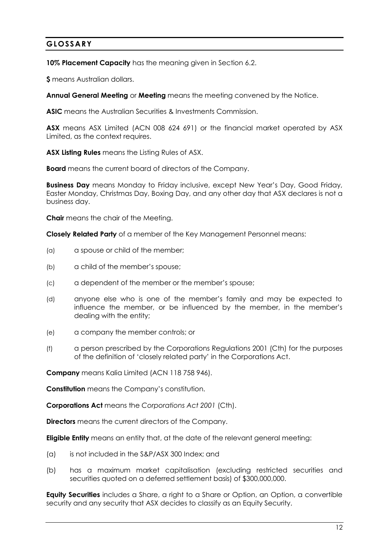# **GLOSSARY**

**10% Placement Capacity** has the meaning given in Section [6.2.](#page-8-0)

**\$** means Australian dollars.

**Annual General Meeting** or **Meeting** means the meeting convened by the Notice.

**ASIC** means the Australian Securities & Investments Commission.

**ASX** means ASX Limited (ACN 008 624 691) or the financial market operated by ASX Limited, as the context requires.

**ASX Listing Rules** means the Listing Rules of ASX.

**Board** means the current board of directors of the Company.

**Business Day** means Monday to Friday inclusive, except New Year's Day, Good Friday, Easter Monday, Christmas Day, Boxing Day, and any other day that ASX declares is not a business day.

**Chair** means the chair of the Meeting.

**Closely Related Party** of a member of the Key Management Personnel means:

- (a) a spouse or child of the member;
- (b) a child of the member's spouse;
- (c) a dependent of the member or the member's spouse;
- (d) anyone else who is one of the member's family and may be expected to influence the member, or be influenced by the member, in the member's dealing with the entity;
- (e) a company the member controls; or
- (f) a person prescribed by the Corporations Regulations 2001 (Cth) for the purposes of the definition of 'closely related party' in the Corporations Act.

**Company** means Kalia Limited (ACN 118 758 946).

**Constitution** means the Company's constitution.

**Corporations Act** means the *Corporations Act 2001* (Cth).

**Directors** means the current directors of the Company.

**Eligible Entity** means an entity that, at the date of the relevant general meeting:

- (a) is not included in the S&P/ASX 300 Index; and
- (b) has a maximum market capitalisation (excluding restricted securities and securities quoted on a deferred settlement basis) of \$300,000,000.

**Equity Securities** includes a Share, a right to a Share or Option, an Option, a convertible security and any security that ASX decides to classify as an Equity Security.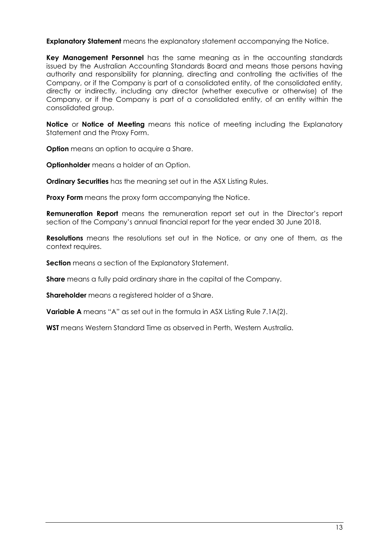**Explanatory Statement** means the explanatory statement accompanying the Notice.

**Key Management Personnel** has the same meaning as in the accounting standards issued by the Australian Accounting Standards Board and means those persons having authority and responsibility for planning, directing and controlling the activities of the Company, or if the Company is part of a consolidated entity, of the consolidated entity, directly or indirectly, including any director (whether executive or otherwise) of the Company, or if the Company is part of a consolidated entity, of an entity within the consolidated group.

**Notice** or **Notice of Meeting** means this notice of meeting including the Explanatory Statement and the Proxy Form.

**Option** means an option to acquire a Share.

**Optionholder** means a holder of an Option.

**Ordinary Securities** has the meaning set out in the ASX Listing Rules.

**Proxy Form** means the proxy form accompanying the Notice.

**Remuneration Report** means the remuneration report set out in the Director's report section of the Company's annual financial report for the year ended 30 June 2018.

**Resolutions** means the resolutions set out in the Notice, or any one of them, as the context requires.

**Section** means a section of the Explanatory Statement.

**Share** means a fully paid ordinary share in the capital of the Company.

**Shareholder** means a registered holder of a Share.

**Variable A** means "A" as set out in the formula in ASX Listing Rule 7.1A(2).

**WST** means Western Standard Time as observed in Perth, Western Australia.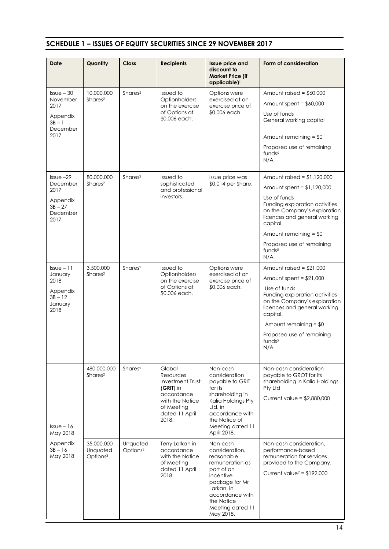# **SCHEDULE 1 – ISSUES OF EQUITY SECURITIES SINCE 29 NOVEMBER 2017**

| <b>Date</b>                                                    | Quantity                                       | <b>Class</b>                     | <b>Recipients</b>                                                                                                                | <b>Issue price and</b><br>discount to<br><b>Market Price (if</b><br>applicable) <sup>1</sup>                                                                                             | Form of consideration                                                                                                                                        |  |
|----------------------------------------------------------------|------------------------------------------------|----------------------------------|----------------------------------------------------------------------------------------------------------------------------------|------------------------------------------------------------------------------------------------------------------------------------------------------------------------------------------|--------------------------------------------------------------------------------------------------------------------------------------------------------------|--|
| $Issue-30$                                                     | 10,000,000                                     | Shares <sup>2</sup>              | Issued to<br>Optionholders<br>on the exercise<br>of Options at<br>\$0.006 each.                                                  | Options were                                                                                                                                                                             | Amount raised = $$60,000$                                                                                                                                    |  |
| November<br>2017                                               | Shares <sup>2</sup>                            |                                  |                                                                                                                                  | exercised at an<br>exercise price of<br>\$0.006 each.                                                                                                                                    | Amount spent = $$60,000$                                                                                                                                     |  |
| Appendix<br>$3B - 1$<br>December                               |                                                |                                  |                                                                                                                                  |                                                                                                                                                                                          | Use of funds<br>General working capital                                                                                                                      |  |
| 2017                                                           |                                                |                                  |                                                                                                                                  |                                                                                                                                                                                          | Amount remaining $= $0$                                                                                                                                      |  |
|                                                                |                                                |                                  |                                                                                                                                  |                                                                                                                                                                                          | Proposed use of remaining<br>funds <sup>5</sup><br>N/A                                                                                                       |  |
| $Is5 - 29$                                                     | 80,000,000                                     | Shares <sup>2</sup>              | Issued to                                                                                                                        | Issue price was                                                                                                                                                                          | Amount raised = $$1,120,000$                                                                                                                                 |  |
| December<br>2017                                               | Shares <sup>2</sup>                            |                                  | sophisticated<br>and professional                                                                                                | \$0.014 per Share.                                                                                                                                                                       | Amount spent = $$1,120,000$                                                                                                                                  |  |
| Appendix<br>$3B - 27$<br>December                              |                                                |                                  | investors.                                                                                                                       |                                                                                                                                                                                          | Use of funds<br>Funding exploration activities<br>on the Company's exploration<br>licences and general working                                               |  |
| 2017                                                           |                                                |                                  |                                                                                                                                  |                                                                                                                                                                                          | capital.                                                                                                                                                     |  |
|                                                                |                                                |                                  |                                                                                                                                  |                                                                                                                                                                                          | Amount remaining $= $0$                                                                                                                                      |  |
|                                                                |                                                |                                  |                                                                                                                                  |                                                                                                                                                                                          | Proposed use of remaining<br>funds <sup>5</sup><br>N/A                                                                                                       |  |
| $Is5 = 11$                                                     | 3,500,000<br>Shares <sup>2</sup>               | Shares <sup>2</sup>              | Issued to                                                                                                                        | Options were                                                                                                                                                                             | Amount raised = $$21,000$                                                                                                                                    |  |
| January<br>2018                                                |                                                |                                  | Optionholders<br>on the exercise                                                                                                 | exercised at an<br>exercise price of                                                                                                                                                     | Amount spent = $$21,000$                                                                                                                                     |  |
| Appendix<br>$3B - 12$<br>January<br>2018                       |                                                |                                  | of Options at<br>\$0.006 each.                                                                                                   | \$0.006 each.                                                                                                                                                                            | Use of funds<br>Funding exploration activities<br>on the Company's exploration<br>licences and general working<br>capital.                                   |  |
|                                                                |                                                |                                  |                                                                                                                                  |                                                                                                                                                                                          | Amount remaining $= $0$                                                                                                                                      |  |
|                                                                |                                                |                                  |                                                                                                                                  |                                                                                                                                                                                          | Proposed use of remaining<br>funds <sup>5</sup><br>N/A                                                                                                       |  |
| $l$ ssue – 16<br>May 2018<br>Appendix<br>$3B - 16$<br>May 2018 | 480,000,000<br>Shares <sup>2</sup>             | Shares <sup>2</sup>              | Global<br>Resources<br>Investment Trust<br>$(GRIT)$ in<br>accordance<br>with the Notice<br>of Meeting<br>dated 11 April<br>2018. | Non-cash<br>consideration<br>payable to GRIT<br>for its<br>shareholding in<br>Kalia Holdings Pty<br>Ltd, in<br>accordance with<br>the Notice of<br>Meeting dated 11<br>April 2018.       | Non-cash consideration<br>payable to GROT for its<br>shareholding in Kalia Holdings<br>Pty Ltd<br>Current value = $$2,880,000$                               |  |
|                                                                | 35,000,000<br>Unquoted<br>Options <sup>3</sup> | Unquoted<br>Options <sup>3</sup> | Terry Larkan in<br>accordance<br>with the Notice<br>of Meeting<br>dated 11 April<br>2018.                                        | Non-cash<br>consideration,<br>reasonable<br>remuneration as<br>part of an<br>incentive<br>package for Mr<br>Larkan, in<br>accordance with<br>the Notice<br>Meeting dated 11<br>May 2018. | Non-cash consideration,<br>performance-based<br>remuneration for services<br>provided to the Company.<br>Current value <sup><math>7 = \$192,000</math></sup> |  |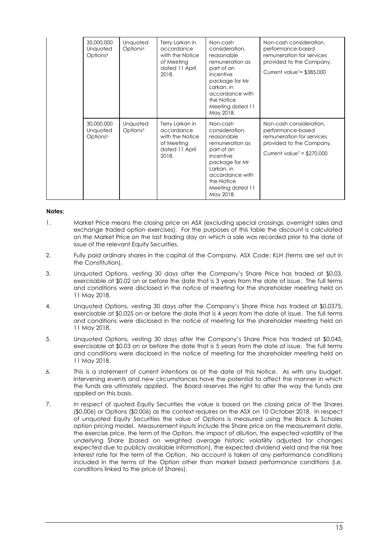|  | 35,000,000<br>Unquoted<br>Options <sup>4</sup> | Unquoted<br>Options <sup>4</sup> | Terry Larkan in<br>accordance<br>with the Notice<br>of Meeting<br>dated 11 April<br>2018. | Non-cash<br>consideration,<br>reasonable<br>remuneration as<br>part of an<br>incentive<br>package for Mr<br>Larkan, in<br>accordance with<br>the Notice<br>Meeting dated 11<br>May 2018. | Non-cash consideration,<br>performance-based<br>remuneration for services<br>provided to the Company.<br>Current value <sup>7</sup> = \$385,000              |
|--|------------------------------------------------|----------------------------------|-------------------------------------------------------------------------------------------|------------------------------------------------------------------------------------------------------------------------------------------------------------------------------------------|--------------------------------------------------------------------------------------------------------------------------------------------------------------|
|  | 30,000,000<br>Unquoted<br>Options <sup>5</sup> | Unquoted<br>Options <sup>5</sup> | Terry Larkan in<br>accordance<br>with the Notice<br>of Meeting<br>dated 11 April<br>2018. | Non-cash<br>consideration,<br>reasonable<br>remuneration as<br>part of an<br>incentive<br>package for Mr<br>Larkan, in<br>accordance with<br>the Notice<br>Meeting dated 11<br>May 2018. | Non-cash consideration,<br>performance-based<br>remuneration for services<br>provided to the Company.<br>Current value <sup><math>7</math></sup> = \$270,000 |

### **Notes:**

- 1. Market Price means the closing price on ASX (excluding special crossings, overnight sales and exchange traded option exercises). For the purposes of this table the discount is calculated on the Market Price on the last trading day on which a sale was recorded prior to the date of issue of the relevant Equity Securities.
- 2. Fully paid ordinary shares in the capital of the Company, ASX Code: KLH (terms are set out in the Constitution).
- 3. Unquoted Options, vesting 30 days after the Company's Share Price has traded at \$0.03, exercisable at \$0.02 on or before the date that is 3 years from the date of issue. The full terms and conditions were disclosed in the notice of meeting for the shareholder meeting held on 11 May 2018.
- 4. Unquoted Options, vesting 30 days after the Company's Share Price has traded at \$0.0375, exercisable at \$0.025 on or before the date that is 4 years from the date of issue. The full terms and conditions were disclosed in the notice of meeting for the shareholder meeting held on 11 May 2018.
- 5. Unquoted Options, vesting 30 days after the Company's Share Price has traded at \$0.045, exercisable at \$0.03 on or before the date that is 5 years from the date of issue. The full terms and conditions were disclosed in the notice of meeting for the shareholder meeting held on 11 May 2018.
- 6. This is a statement of current intentions as at the date of this Notice. As with any budget, intervening events and new circumstances have the potential to affect the manner in which the funds are ultimately applied. The Board reserves the right to alter the way the funds are applied on this basis.
- 7. In respect of quoted Equity Securities the value is based on the closing price of the Shares (\$0.006) or Options (\$0.006) as the context requires on the ASX on 10 October 2018. In respect of unquoted Equity Securities the value of Options is measured using the Black & Scholes option pricing model. Measurement inputs include the Share price on the measurement date, the exercise price, the term of the Option, the impact of dilution, the expected volatility of the underlying Share (based on weighted average historic volatility adjusted for changes expected due to publicly available information), the expected dividend yield and the risk free interest rate for the term of the Option. No account is taken of any performance conditions included in the terms of the Option other than market based performance conditions (i.e. conditions linked to the price of Shares).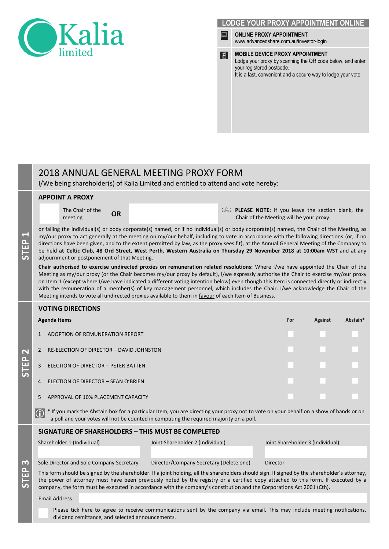



# 2018 ANNUAL GENERAL MEETING PROXY FORM

I/We being shareholder(s) of Kalia Limited and entitled to attend and vote hereby:

### **APPOINT A PROXY**

The Chair of the

**The Chair of the OR PLEASE NOTE:** If you leave the section blank, the meeting **OR PLEASE NOTE:** If you leave the section blank, the chair of the Meeting will be vour proxy. Chair of the Meeting will be your proxy.

or failing the individual(s) or body corporate(s) named, or if no individual(s) or body corporate(s) named, the Chair of the Meeting, as my/our proxy to act generally at the meeting on my/our behalf, including to vote in accordance with the following directions (or, if no directions have been given, and to the extent permitted by law, as the proxy sees fit), at the Annual General Meeting of the Company to be held **at Celtic Club, 48 Ord Street, West Perth, Western Australia on Thursday 29 November 2018 at 10:00am WST** and at any adjournment or postponement of that Meeting.

**Chair authorised to exercise undirected proxies on remuneration related resolutions:** Where I/we have appointed the Chair of the Meeting as my/our proxy (or the Chair becomes my/our proxy by default), I/we expressly authorise the Chair to exercise my/our proxy on Item 1 (except where I/we have indicated a different voting intention below) even though this Item is connected directly or indirectly with the remuneration of a member(s) of key management personnel, which includes the Chair. I/we acknowledge the Chair of the Meeting intends to vote all undirected proxies available to them in favour of each Item of Business.

### **VOTING DIRECTIONS**

|     | Agenda Items                                  | For | Against | Abstain* |
|-----|-----------------------------------------------|-----|---------|----------|
| 2   | ADOPTION OF REMUNERATION REPORT               |     |         |          |
|     | RE-ELECTION OF DIRECTOR - DAVID JOHNSTON<br>2 |     |         |          |
| Δ.  | 3<br>ELECTION OF DIRECTOR - PETER BATTEN      |     |         |          |
| in. | ELECTION OF DIRECTOR - SEAN O'BRIEN<br>4      |     |         |          |
|     | APPROVAL OF 10% PLACEMENT CAPACITY<br>5       |     |         |          |

\* If you mark the Abstain box for a particular Item, you are directing your proxy not to vote on your behalf on a show of hands or on a poll and your votes will not be counted in computing the required majority on a poll.  $\bigcirc$ 

### **SIGNATURE OF SHAREHOLDERS – THIS MUST BE COMPLETED**

Shareholder 1 (Individual) Joint Shareholder 2 (Individual) Joint Shareholder 3 (Individual)

Sole Director and Sole Company Secretary Director/Company Secretary (Delete one) Director

**STEP 3**

**STEP 1**

> This form should be signed by the shareholder. If a joint holding, all the shareholders should sign. If signed by the shareholder's attorney, the power of attorney must have been previously noted by the registry or a certified copy attached to this form. If executed by a company, the form must be executed in accordance with the company's constitution and the Corporations Act 2001 (Cth).

Email Address

Please tick here to agree to receive communications sent by the company via email. This may include meeting notifications, dividend remittance, and selected announcements.